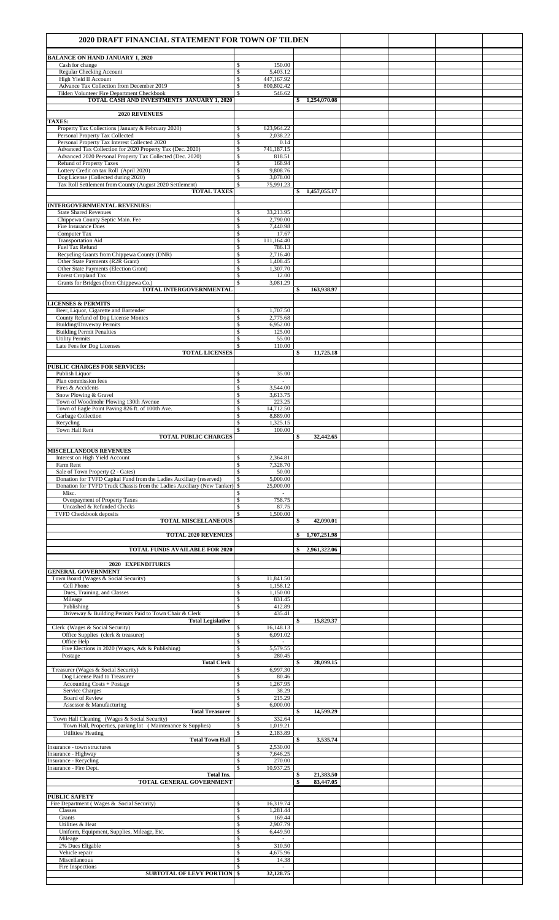| 2020 DRAFT FINANCIAL STATEMENT FOR TOWN OF TILDEN                                                                                             |                                                             |                    |  |  |
|-----------------------------------------------------------------------------------------------------------------------------------------------|-------------------------------------------------------------|--------------------|--|--|
| <b>BALANCE ON HAND JANUARY 1, 2020</b>                                                                                                        |                                                             |                    |  |  |
| Cash for change<br><b>Regular Checking Account</b>                                                                                            | 150.00<br>\$<br>\$<br>5,403.12                              |                    |  |  |
| High Yield II Account<br>Advance Tax Collection from December 2019                                                                            | \$<br>447,167.92<br>800,802.42<br>\$                        |                    |  |  |
| Tilden Volunteer Fire Department Checkbook<br>TOTAL CASH AND INVESTMENTS JANUARY 1, 2020                                                      | $\mathbb S$<br>546.62                                       | \$1,254,070.08     |  |  |
| 2020 REVENUES                                                                                                                                 |                                                             |                    |  |  |
| <b>TAXES:</b><br>Property Tax Collections (January & February 2020)                                                                           | \$<br>623,964.22                                            |                    |  |  |
| Personal Property Tax Collected<br>Personal Property Tax Interest Collected 2020                                                              | \$<br>2,038.22<br>\$<br>0.14                                |                    |  |  |
| Advanced Tax Collection for 2020 Property Tax (Dec. 2020)<br>Advanced 2020 Personal Property Tax Collected (Dec. 2020)                        | $\sqrt{s}$<br>741,187.15<br>\$<br>818.51                    |                    |  |  |
| <b>Refund of Property Taxes</b><br>Lottery Credit on tax Roll (April 2020)                                                                    | \$<br>168.94<br>9,808.76<br>\$                              |                    |  |  |
| Dog License (Collected during 2020)<br>Tax Roll Settlement from County (August 2020 Settlement)                                               | \$<br>3,078.00<br>75,991.23<br>\$                           |                    |  |  |
| <b>TOTAL TAXES</b>                                                                                                                            |                                                             | \$1,457,055.17     |  |  |
| <b>INTERGOVERNMENTAL REVENUES:</b><br><b>State Shared Revenues</b>                                                                            | 33,213.95<br>\$                                             |                    |  |  |
| Chippewa County Septic Main. Fee<br>Fire Insurance Dues                                                                                       | $\overline{\mathsf{s}}$<br>2,790.00<br>7,440.98<br>\$       |                    |  |  |
| Computer Tax<br><b>Transportation Aid</b>                                                                                                     | \$<br>17.67<br>\$<br>111,164.40                             |                    |  |  |
| Fuel Tax Refund<br>Recycling Grants from Chippewa County (DNR)                                                                                | \$<br>786.13<br>\$<br>2,716.40                              |                    |  |  |
| Other State Payments (R2R Grant)<br>Other State Payments (Election Grant)                                                                     | \$<br>1.408.45<br>$\overline{\mathsf{s}}$<br>1.307.70       |                    |  |  |
| <b>Forest Cropland Tax</b>                                                                                                                    | 12.00<br>\$                                                 |                    |  |  |
| Grants for Bridges (from Chippewa Co.)<br>TOTAL INTERGOVERNMENTAL                                                                             | \$<br>3.081.29                                              | 163,938.97<br>\$   |  |  |
| <b>LICENSES &amp; PERMITS</b>                                                                                                                 |                                                             |                    |  |  |
| Beer, Liquor, Cigarette and Bartender<br>County Refund of Dog License Monies                                                                  | \$<br>1,707.50<br>\$<br>2,775.68                            |                    |  |  |
| <b>Building/Driveway Permits</b><br><b>Building Permit Penalties</b>                                                                          | \$<br>6,952.00<br>\$<br>125.00                              |                    |  |  |
| <b>Utility Permits</b><br>Late Fees for Dog Licenses                                                                                          | 55.00<br>\$<br>\$<br>110.00                                 |                    |  |  |
| <b>TOTAL LICENSES</b>                                                                                                                         |                                                             | 11,725.18<br>\$    |  |  |
| PUBLIC CHARGES FOR SERVICES:<br>Publish Liquor                                                                                                | \$<br>35.00                                                 |                    |  |  |
| Plan commission fees<br>Fires & Accidents                                                                                                     | $\overline{\mathbb{S}}$<br>$\sim$<br>\$<br>3,544.00         |                    |  |  |
| Snow Plowing & Gravel<br>Town of Woodmohr Plowing 130th Avenue                                                                                | $\overline{\mathcal{S}}$<br>3,613.75<br>\$<br>223.25        |                    |  |  |
| Town of Eagle Point Paving 826 ft. of 100th Ave.<br>Garbage Collection                                                                        | \$<br>14,712.50<br>\$<br>8,889.00                           |                    |  |  |
| Recycling<br>Town Hall Rent                                                                                                                   | 1,325.15<br>\$<br>100.00<br>\$                              |                    |  |  |
| <b>TOTAL PUBLIC CHARGES</b>                                                                                                                   |                                                             | 32,442.65<br>\$    |  |  |
| <b>MISCELLANEOUS REVENUES</b><br>Interest on High Yield Account                                                                               | \$<br>2,364.81                                              |                    |  |  |
| Farm Rent<br>Sale of Town Property (2 - Gates)                                                                                                | \$<br>7,328.70<br>\$<br>50.00                               |                    |  |  |
| Donation for TVFD Capital Fund from the Ladies Auxiliary (reserved)<br>Donation for TVFD Truck Chassis from the Ladies Auxiliary (New Tanker) | \$<br>5,000.00<br>\$<br>25,000.00                           |                    |  |  |
| Misc.<br>Overpayment of Property Taxes                                                                                                        | \$<br>$\sim$<br>$\overline{\mathcal{S}}$<br>758.75          |                    |  |  |
| Uncashed & Refunded Checks<br><b>TVFD Checkbook deposits</b>                                                                                  | \$<br>87.75<br>1,500.00<br>\$                               |                    |  |  |
| <b>TOTAL MISCELLANEOUS</b>                                                                                                                    |                                                             | 42,090.01<br>\$    |  |  |
| <b>TOTAL 2020 REVENUES</b>                                                                                                                    |                                                             | 1,707,251.98<br>\$ |  |  |
| <b>TOTAL FUNDS AVAILABLE FOR 2020</b>                                                                                                         |                                                             | 2,961,322.06<br>Ŝ. |  |  |
| 2020 EXPENDITURES<br><b>GENERAL GOVERNMENT</b>                                                                                                |                                                             |                    |  |  |
| Town Board (Wages & Social Security)                                                                                                          | 11,841.50<br>\$                                             |                    |  |  |
| Cell Phone<br>Dues, Training, and Classes                                                                                                     | \$<br>1,158.12<br>\$<br>1,150.00<br>831.45                  |                    |  |  |
| Mileage<br>Publishing                                                                                                                         | \$<br>\$<br>412.89<br>$\overline{\mathsf{s}}$<br>435.41     |                    |  |  |
| Driveway & Building Permits Paid to Town Chair & Clerk<br><b>Total Legislative</b>                                                            |                                                             | 15,829.37<br>\$    |  |  |
| Clerk (Wages & Social Security)<br>Office Supplies (clerk & treasurer)<br>Office Help                                                         | \$<br>16,148.13<br>\$<br>6,091.02<br>\$                     |                    |  |  |
| Five Elections in 2020 (Wages, Ads & Publishing)                                                                                              | \$<br>5,579.55                                              |                    |  |  |
| Postage<br><b>Total Clerk</b><br>Treasurer (Wages & Social Security)                                                                          | \$<br>280.45<br>6,997.30<br>\$                              | 28,099.15<br>\$    |  |  |
| Dog License Paid to Treasurer                                                                                                                 | \$<br>80.46                                                 |                    |  |  |
| Accounting Costs + Postage<br>Service Charges                                                                                                 | 1,267.95<br>\$<br>\$<br>38.29                               |                    |  |  |
| <b>Board of Review</b><br>Assessor & Manufacturing                                                                                            | \$<br>215.29<br>\$<br>6,000.00                              |                    |  |  |
| <b>Total Treasurer</b><br>Town Hall Cleaning (Wages & Social Security)                                                                        | 332.64<br>\$                                                | 14,599.29<br>\$    |  |  |
| Town Hall, Properties, parking lot (Maintenance & Supplies)<br>Utilities/Heating                                                              | $\sqrt{\frac{2}{n}}$<br>1,019.21<br>$\mathbb S$<br>2,183.89 |                    |  |  |
| <b>Total Town Hall</b><br>Insurance - town structures                                                                                         | 2,530.00<br>\$                                              | 3,535.74<br>\$     |  |  |
| Insurance - Highway<br><b>Insurance - Recycling</b>                                                                                           | \$<br>7,646.25<br>270.00<br>\$                              |                    |  |  |
| Insurance - Fire Dept.<br><b>Total Ins.</b>                                                                                                   | $\mathbb S$<br>10,937.25                                    | 21,383.50<br>\$    |  |  |
| TOTAL GENERAL GOVERNMENT                                                                                                                      |                                                             | 83,447.05<br>\$    |  |  |
| <b>PUBLIC SAFETY</b><br>Fire Department (Wages & Social Security)                                                                             | 16,319.74<br>\$                                             |                    |  |  |
| Classes<br>Grants                                                                                                                             | \$<br>1,281.44<br>\$<br>169.44                              |                    |  |  |
| Utilities & Heat<br>Uniform, Equipment, Supplies, Mileage, Etc.                                                                               | \$<br>2,907.79<br>6,449.50<br>\$                            |                    |  |  |
| Mileage<br>2% Dues Eligable                                                                                                                   | \$<br>÷.<br>\$<br>310.50                                    |                    |  |  |
| Vehicle repair<br>Miscellaneous                                                                                                               | 4,675.96<br>S<br>$\overline{\mathcal{S}}$<br>14.38          |                    |  |  |
| Fire Inspections<br><b>SUBTOTAL OF LEVY PORTION</b>                                                                                           | \$<br>$\sim$<br>32,128.75<br>\$                             |                    |  |  |
|                                                                                                                                               |                                                             |                    |  |  |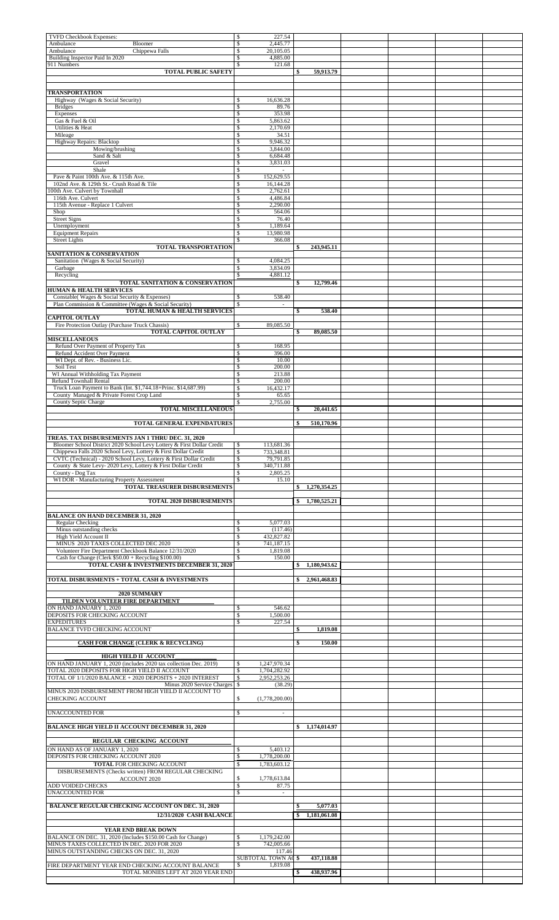| TVFD Checkbook Expenses:                                                                                                             | \$<br>227.54                                                     |                    |  |  |
|--------------------------------------------------------------------------------------------------------------------------------------|------------------------------------------------------------------|--------------------|--|--|
| Ambulance<br>Bloomer<br>Ambulance<br>Chippewa Falls                                                                                  | $\mathbb{S}$<br>2,445.77<br>\$<br>20,105.05                      |                    |  |  |
| Building Inspector Paid In 2020                                                                                                      | 4,885.00<br>\$                                                   |                    |  |  |
| 911 Numbers<br><b>TOTAL PUBLIC SAFETY</b>                                                                                            | \$<br>121.68                                                     | 59,913.79<br>\$    |  |  |
|                                                                                                                                      |                                                                  |                    |  |  |
| <b>TRANSPORTATION</b>                                                                                                                |                                                                  |                    |  |  |
| Highway (Wages & Social Security)                                                                                                    | \$<br>16,636.28                                                  |                    |  |  |
| <b>Bridges</b><br>Expenses                                                                                                           | \$<br>89.76<br>\$<br>353.98                                      |                    |  |  |
| Gas & Fuel & Oil                                                                                                                     | \$<br>5,863.62                                                   |                    |  |  |
| Utilities & Heat<br>Mileage                                                                                                          | \$<br>2,170.69<br>\$<br>34.51                                    |                    |  |  |
| Highway Repairs: Blacktop                                                                                                            | $\mathbb{S}$<br>9,946.32<br>3,844,00                             |                    |  |  |
| Mowing/brushing<br>Sand & Salt                                                                                                       | $\mathbb{S}$<br>$\sqrt{\frac{2}{n}}$<br>6,684.48                 |                    |  |  |
| Gravel                                                                                                                               | \$<br>3,831.03                                                   |                    |  |  |
| Shale<br>Pave & Paint 100th Ave. & 115th Ave.                                                                                        | $\mathsf{\$}$<br>$\sim$<br>\$<br>152,629.55                      |                    |  |  |
| 102nd Ave. & 129th St.- Crush Road & Tile                                                                                            | \$<br>16,144.28                                                  |                    |  |  |
| 100th Ave. Culvert by Townhall<br>116th Ave. Culvert                                                                                 | 2,762.61<br>\$<br>$\mathsf{s}$<br>4,486.84                       |                    |  |  |
| 115th Avenue - Replace 1 Culvert<br>Shop                                                                                             | $\mathbb{S}$<br>2,290.00<br>$\mathbb{S}$<br>564.06               |                    |  |  |
| <b>Street Signs</b>                                                                                                                  | $\mathbb{S}$<br>76.40                                            |                    |  |  |
| Unemployment<br><b>Equipment Repairs</b>                                                                                             | \$<br>1,189.64<br>13,980.98<br>\$                                |                    |  |  |
| <b>Street Lights</b>                                                                                                                 | \$<br>366.08                                                     |                    |  |  |
| <b>TOTAL TRANSPORTATION</b><br><b>SANITATION &amp; CONSERVATION</b>                                                                  |                                                                  | 243,945.11<br>\$   |  |  |
| Sanitation (Wages & Social Security)                                                                                                 | 4,084.25<br>\$                                                   |                    |  |  |
| Garbage<br>Recycling                                                                                                                 | $\mathbb{S}$<br>3,834.09<br>$\overline{\mathcal{S}}$<br>4,881.12 |                    |  |  |
| <b>TOTAL SANITATION &amp; CONSERVATION</b>                                                                                           |                                                                  | \$<br>12,799.46    |  |  |
| <b>HUMAN &amp; HEALTH SERVICES</b><br>Constable(Wages & Social Security & Expenses)                                                  | \$<br>538.40                                                     |                    |  |  |
| Plan Commission & Committee (Wages & Social Security)                                                                                | S<br>$\overline{\phantom{a}}$                                    |                    |  |  |
| TOTAL HUMAN & HEALTH SERVICES<br><b>CAPITOL OUTLAY</b>                                                                               |                                                                  | \$<br>538.40       |  |  |
| Fire Protection Outlay (Purchase Truck Chassis)                                                                                      | 89,085.50<br>\$                                                  |                    |  |  |
| TOTAL CAPITOL OUTLAY<br><b>MISCELLANEOUS</b>                                                                                         |                                                                  | 89,085.50<br>\$    |  |  |
| Refund Over Payment of Property Tax                                                                                                  | $\mathbb{S}$<br>168.95                                           |                    |  |  |
| Refund Accident Over Payment<br>WI Dept. of Rev. - Business Lic.                                                                     | $\overline{\mathbf{s}}$<br>396.00<br>$\mathbb{S}$<br>10.00       |                    |  |  |
| Soil Test                                                                                                                            | $\mathbb{S}$<br>200.00                                           |                    |  |  |
| WI Annual Withholding Tax Payment<br>Refund Townhall Rental                                                                          | \$<br>213.88<br>\$<br>200.00                                     |                    |  |  |
| Truck Loan Payment to Bank (Int. \$1,744.18+Princ. \$14,687.99)                                                                      | 16,432.17<br>\$                                                  |                    |  |  |
| County Managed & Private Forest Crop Land<br>County Septic Charge                                                                    | \$<br>65.65<br>2,755.00<br>S                                     |                    |  |  |
| <b>TOTAL MISCELLANEOUS</b>                                                                                                           |                                                                  | 20,441.65<br>\$    |  |  |
| <b>TOTAL GENERAL EXPENDATURES</b>                                                                                                    |                                                                  | \$<br>510,170.96   |  |  |
|                                                                                                                                      |                                                                  |                    |  |  |
| TREAS. TAX DISBURSEMENTS JAN 1 THRU DEC. 31, 2020<br>Bloomer School District 2020 School Levy Lottery & First Dollar Credit          | \$<br>113,681.36                                                 |                    |  |  |
| Chippewa Falls 2020 School Levy, Lottery & First Dollar Credit<br>CVTC (Technical) - 2020 School Levy, Lottery & First Dollar Credit | \$<br>733,348.81<br>79,791.85<br>\$                              |                    |  |  |
| County & State Levy-2020 Levy, Lottery & First Dollar Credit                                                                         | \$<br>340,711.88                                                 |                    |  |  |
| County - Dog Tax<br>WI DOR - Manufacturing Property Assessment                                                                       | $\mathbb{S}$<br>2,805.25<br>\$<br>15.10                          |                    |  |  |
| TOTAL TREASURER DISBURSEMENTS                                                                                                        |                                                                  | 1,270,354.25<br>\$ |  |  |
| TOTAL 2020 DISBURSEMENTS                                                                                                             |                                                                  | 1,780,525.21<br>\$ |  |  |
| <b>BALANCE ON HAND DECEMBER 31, 2020</b>                                                                                             |                                                                  |                    |  |  |
| Regular Checking                                                                                                                     | 5,077.03<br>\$                                                   |                    |  |  |
| Minus outstanding checks<br>High Yield Account II                                                                                    | $\mathsf{s}$<br>(117.46)<br>432,827.82<br>\$                     |                    |  |  |
| MINUS 2020 TAXES COLLECTED DEC 2020                                                                                                  | $\mathsf{s}$<br>741,187.15                                       |                    |  |  |
| Volunteer Fire Department Checkbook Balance 12/31/2020<br>Cash for Change (Clerk \$50.00 + Recycling \$100.00)                       | 1,819.08<br>\$<br>\$<br>150.00                                   |                    |  |  |
| TOTAL CASH & INVESTMENTS DECEMBER 31, 2020                                                                                           |                                                                  | 1,180,943.62<br>\$ |  |  |
| TOTAL DISBURSMENTS + TOTAL CASH & INVESTMENTS                                                                                        |                                                                  | 2,961,468.83<br>S  |  |  |
|                                                                                                                                      |                                                                  |                    |  |  |
| 2020 SUMMARY<br>TILDEN VOLUNTEER FIRE DEPARTMENT                                                                                     |                                                                  |                    |  |  |
| ON HAND JANUARY 1, 2020                                                                                                              | 546.62<br>\$                                                     |                    |  |  |
| DEPOSITS FOR CHECKING ACCOUNT<br><b>EXPEDITURES</b>                                                                                  | \$<br>1,500.00<br>$\mathbb{S}$<br>227.54                         |                    |  |  |
| <b>BALANCE TVFD CHECKING ACCOUNT</b>                                                                                                 |                                                                  | 1,819.08<br>\$     |  |  |
| <b>CASH FOR CHANGE (CLERK &amp; RECYCLING)</b>                                                                                       |                                                                  | \$<br>150.00       |  |  |
|                                                                                                                                      |                                                                  |                    |  |  |
| HIGH YIELD II ACCOUNT<br>ON HAND JANUARY 1, 2020 (includes 2020 tax collection Dec. 2019)                                            | \$<br>1,247,970.34                                               |                    |  |  |
| TOTAL 2020 DEPOSITS FOR HIGH YIELD II ACCOUNT<br>TOTAL OF 1/1/2020 BALANCE + 2020 DEPOSITS + 2020 INTEREST                           | $\mathsf{s}$<br>1,704,282.92<br>2,952,253.26<br>$\mathbb{S}$     |                    |  |  |
| Minus 2020 Service Charges \$                                                                                                        | (38.29)                                                          |                    |  |  |
| MINUS 2020 DISBURSEMENT FROM HIGH YIELD II ACCOUNT TO<br>CHECKING ACCOUNT                                                            | \$<br>(1,778,200.00)                                             |                    |  |  |
|                                                                                                                                      |                                                                  |                    |  |  |
| UNACCOUNTED FOR                                                                                                                      | $\mathbb{S}$                                                     |                    |  |  |
| <b>BALANCE HIGH YIELD II ACCOUNT DECEMBER 31, 2020</b>                                                                               |                                                                  | \$1,174,014.97     |  |  |
| REGULAR CHECKING ACCOUNT                                                                                                             |                                                                  |                    |  |  |
| ON HAND AS OF JANUARY 1, 2020                                                                                                        | 5,403.12<br>\$                                                   |                    |  |  |
| DEPOSITS FOR CHECKING ACCOUNT 2020<br>TOTAL FOR CHECKING ACCOUNT                                                                     | \$<br>1,778,200.00<br>1,783,603.12<br>\$                         |                    |  |  |
| DISBURSEMENTS (Checks written) FROM REGULAR CHECKING                                                                                 |                                                                  |                    |  |  |
| ACCOUNT 2020<br>ADD VOIDED CHECKS                                                                                                    | $\mathbb{S}$<br>1,778,613.84<br>$\mathbb{S}$<br>87.75            |                    |  |  |
| UNACCOUNTED FOR                                                                                                                      | $\overline{\mathbf{s}}$<br>$\sim$                                |                    |  |  |
| <b>BALANCE REGULAR CHECKING ACCOUNT ON DEC. 31, 2020</b>                                                                             |                                                                  | 5.077.03<br>\$     |  |  |
| 12/31/2020 CASH BALANCE                                                                                                              |                                                                  | 1,181,061.08<br>\$ |  |  |
| YEAR END BREAK DOWN                                                                                                                  |                                                                  |                    |  |  |
| BALANCE ON DEC. 31, 2020 (Includes \$150.00 Cash for Change)                                                                         | 1,179,242.00<br>\$                                               |                    |  |  |
| MINUS TAXES COLLECTED IN DEC. 2020 FOR 2020<br>MINUS OUTSTANDING CHECKS ON DEC. 31, 2020                                             | $\mathbb{S}$<br>742,005.66<br>117.46                             |                    |  |  |
| FIRE DEPARTMENT YEAR END CHECKING ACCOUNT BALANCE                                                                                    | SUBTOTAL TOWN AC \$<br>1,819.08<br>\$                            | 437,118.88         |  |  |
| TOTAL MONIES LEFT AT 2020 YEAR END                                                                                                   |                                                                  | 438,937.96<br>\$   |  |  |
|                                                                                                                                      |                                                                  |                    |  |  |